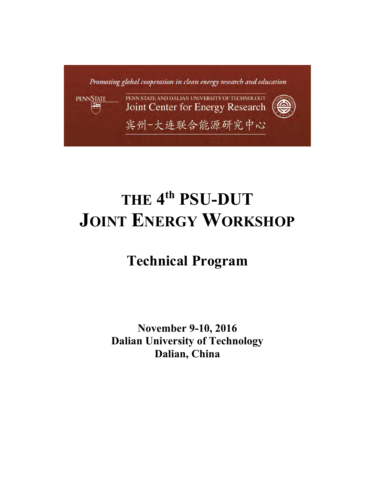

# **THE 4 th PSU-DUT JOINT ENERGY WORKSHOP**

# **Technical Program**

**November 9-10, 2016 Dalian University of Technology Dalian, China**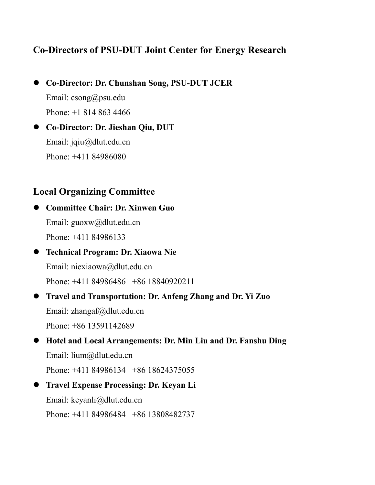# **Co-Directors of PSU-DUT Joint Center for Energy Research**

- **Co-Director: Dr. Chunshan Song, PSU-DUT JCER** Email: csong@psu.edu Phone: +1 814 863 4466
- **Co-Director: Dr. Jieshan Qiu, DUT**  Email: jqiu@dlut.edu.cn Phone: +411 84986080

# **Local Organizing Committee**

 **Committee Chair: Dr. Xinwen Guo** Email: guoxw@dlut.edu.cn Phone: +411 84986133

- **Technical Program: Dr. Xiaowa Nie** Email: [niexiaowa@dlut.edu.cn](mailto:niexiaowa@dlut.edu.cn) Phone: +411 84986486 +86 18840920211
- **Travel and Transportation: Dr. Anfeng Zhang and Dr. Yi Zuo** Email: zhangaf@dlut.edu.cn Phone: +86 13591142689
- **Hotel and Local Arrangements: Dr. Min Liu and Dr. Fanshu Ding** Email: lium@dlut.edu.cn Phone: +411 84986134 +86 18624375055
- **Travel Expense Processing: Dr. Keyan Li** Email: keyanli@dlut.edu.cn Phone: +411 84986484 +86 13808482737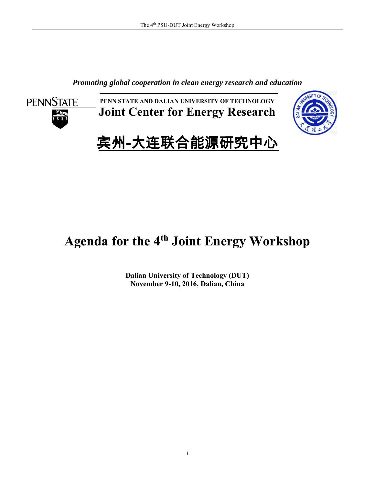*Promoting global cooperation in clean energy research and education*



**PENN STATE AND DALIAN UNIVERSITY OF TECHNOLOGY Joint Center for Energy Research**



# 宾州-大连联合能源研究中心

# **Agenda for the 4th Joint Energy Workshop**

**Dalian University of Technology (DUT) November 9-10, 2016, Dalian, China**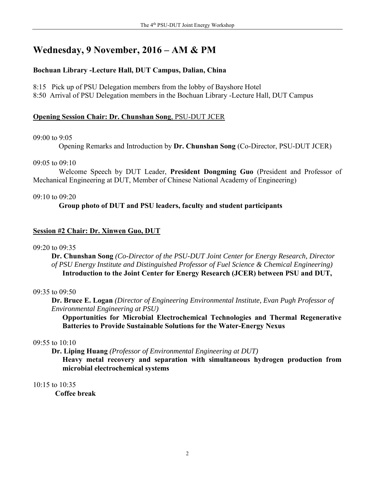# **Wednesday, 9 November, 2016 – AM & PM**

## **Bochuan Library -Lecture Hall, DUT Campus, Dalian, China**

8:15 Pick up of PSU Delegation members from the lobby of Bayshore Hotel

8:50 Arrival of PSU Delegation members in the Bochuan Library -Lecture Hall, DUT Campus

## **Opening Session Chair: Dr. Chunshan Song**, PSU-DUT JCER

## 09:00 to 9:05

Opening Remarks and Introduction by **Dr. Chunshan Song** (Co-Director, PSU-DUT JCER)

## 09:05 to 09:10

Welcome Speech by DUT Leader, **President Dongming Guo** (President and Professor of Mechanical Engineering at DUT, Member of Chinese National Academy of Engineering)

## $09.10$  to  $09.20$

## **Group photo of DUT and PSU leaders, faculty and student participants**

## **Session #2 Chair: Dr. Xinwen Guo, DUT**

## $09.20$  to  $09.35$

**Dr. Chunshan Song** *(Co-Director of the PSU-DUT Joint Center for Energy Research, Director of PSU Energy Institute and Distinguished Professor of Fuel Science & Chemical Engineering)* **Introduction to the Joint Center for Energy Research (JCER) between PSU and DUT,** 

## 09:35 to 09:50

**Dr. Bruce E. Logan** *(Director of Engineering Environmental Institute, Evan Pugh Professor of Environmental Engineering at PSU)*

**Opportunities for Microbial Electrochemical Technologies and Thermal Regenerative Batteries to Provide Sustainable Solutions for the Water-Energy Nexus**

## 09:55 to 10:10

**Dr. Liping Huang** *(Professor of Environmental Engineering at DUT)*

**Heavy metal recovery and separation with simultaneous hydrogen production from microbial electrochemical systems**

## 10:15 to 10:35

**Coffee break**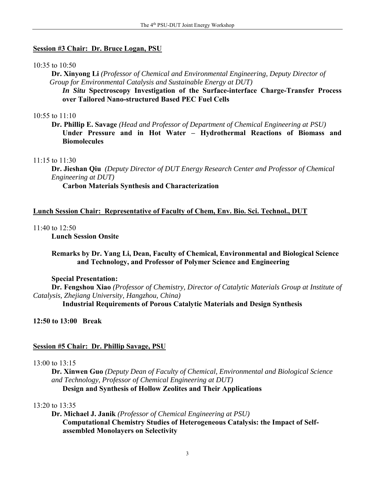#### **Session #3 Chair: Dr. Bruce Logan, PSU**

#### 10:35 to 10:50

 **Dr. Xinyong Li** *(Professor of Chemical and Environmental Engineering, Deputy Director of Group for Environmental Catalysis and Sustainable Energy at DUT)*

 *In Situ* **Spectroscopy Investigation of the Surface-interface Charge-Transfer Process over Tailored Nano-structured Based PEC Fuel Cells** 

#### 10:55 to 11:10

**Dr. Phillip E. Savage** *(Head and Professor of Department of Chemical Engineering at PSU)* **Under Pressure and in Hot Water – Hydrothermal Reactions of Biomass and Biomolecules** 

#### $11:15$  to  $11:30$

**Dr. Jieshan Qiu** *(Deputy Director of DUT Energy Research Center and Professor of Chemical Engineering at DUT)*

**Carbon Materials Synthesis and Characterization**

#### **Lunch Session Chair: Representative of Faculty of Chem, Env. Bio. Sci. Technol., DUT**

#### 11:40 to 12:50

**Lunch Session Onsite** 

#### **Remarks by Dr. Yang Li, Dean, Faculty of Chemical, Environmental and Biological Science and Technology, and Professor of Polymer Science and Engineering**

#### **Special Presentation:**

**Dr. Fengshou Xiao** *(Professor of Chemistry, Director of Catalytic Materials Group at Institute of Catalysis, Zhejiang University, Hangzhou, China)*

 **Industrial Requirements of Porous Catalytic Materials and Design Synthesis** 

**12:50 to 13:00 Break** 

#### **Session #5 Chair: Dr. Phillip Savage, PSU**

#### 13:00 to 13:15

**Dr. Xinwen Guo** *(Deputy Dean of Faculty of Chemical, Environmental and Biological Science and Technology, Professor of Chemical Engineering at DUT)*  **Design and Synthesis of Hollow Zeolites and Their Applications**

#### 13:20 to 13:35

 **Dr. Michael J. Janik** *(Professor of Chemical Engineering at PSU)* **Computational Chemistry Studies of Heterogeneous Catalysis: the Impact of Selfassembled Monolayers on Selectivity**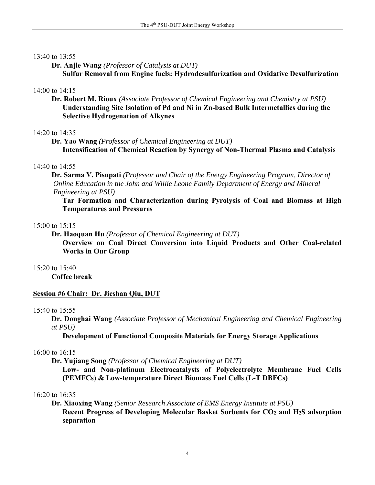## 13:40 to 13:55

**Dr. Anjie Wang** *(Professor of Catalysis at DUT)* **Sulfur Removal from Engine fuels: Hydrodesulfurization and Oxidative Desulfurization**

## 14:00 to 14:15

**Dr. Robert M. Rioux** *(Associate Professor of Chemical Engineering and Chemistry at PSU)* **Understanding Site Isolation of Pd and Ni in Zn-based Bulk Intermetallics during the Selective Hydrogenation of Alkynes**

## $14.20$  to  $14.35$

**Dr. Yao Wang** *(Professor of Chemical Engineering at DUT)* **Intensification of Chemical Reaction by Synergy of Non-Thermal Plasma and Catalysis**

## 14:40 to 14:55

**Dr. Sarma V. Pisupati** *(Professor and Chair of the Energy Engineering Program, Director of Online Education in the John and Willie Leone Family Department of Energy and Mineral Engineering at PSU)*

**Tar Formation and Characterization during Pyrolysis of Coal and Biomass at High Temperatures and Pressures**

## 15:00 to 15:15

**Dr. Haoquan Hu** *(Professor of Chemical Engineering at DUT)*

 **Overview on Coal Direct Conversion into Liquid Products and Other Coal-related Works in Our Group**

#### 15:20 to 15:40

**Coffee break**

## **Session #6 Chair: Dr. Jieshan Qiu, DUT**

## 15:40 to 15:55

**Dr. Donghai Wang** *(Associate Professor of Mechanical Engineering and Chemical Engineering at PSU)*

**Development of Functional Composite Materials for Energy Storage Applications**

## 16:00 to 16:15

**Dr. Yujiang Song** *(Professor of Chemical Engineering at DUT)*

**Low- and Non-platinum Electrocatalysts of Polyelectrolyte Membrane Fuel Cells (PEMFCs) & Low-temperature Direct Biomass Fuel Cells (L-T DBFCs)**

## 16:20 to 16:35

**Dr. Xiaoxing Wang** *(Senior Research Associate of EMS Energy Institute at PSU)* **Recent Progress of Developing Molecular Basket Sorbents for CO<sup>2</sup> and H2S adsorption separation**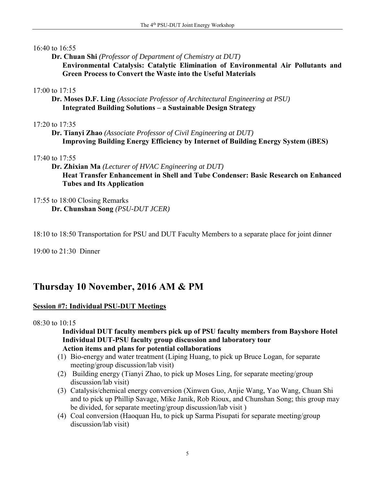## 16:40 to 16:55

**Dr. Chuan Shi** *(Professor of Department of Chemistry at DUT)*  **Environmental Catalysis: Catalytic Elimination of Environmental Air Pollutants and Green Process to Convert the Waste into the Useful Materials**

## 17:00 to 17:15

**Dr. Moses D.F. Ling** *(Associate Professor of Architectural Engineering at PSU)* **Integrated Building Solutions – a Sustainable Design Strategy**

## 17:20 to 17:35

**Dr. Tianyi Zhao** *(Associate Professor of Civil Engineering at DUT)* **Improving Building Energy Efficiency by Internet of Building Energy System (iBES)**

## 17:40 to 17:55

- **Dr. Zhixian Ma** *(Lecturer of HVAC Engineering at DUT)* **Heat Transfer Enhancement in Shell and Tube Condenser: Basic Research on Enhanced Tubes and Its Application**
- 17:55 to 18:00 Closing Remarks **Dr. Chunshan Song** *(PSU-DUT JCER)*

18:10 to 18:50 Transportation for PSU and DUT Faculty Members to a separate place for joint dinner

19:00 to 21:30 Dinner

# **Thursday 10 November, 2016 AM & PM**

## **Session #7: Individual PSU-DUT Meetings**

08:30 to 10:15

 **Individual DUT faculty members pick up of PSU faculty members from Bayshore Hotel Individual DUT-PSU faculty group discussion and laboratory tour Action items and plans for potential collaborations**

- (1) Bio-energy and water treatment (Liping Huang, to pick up Bruce Logan, for separate meeting/group discussion/lab visit)
- (2) Building energy (Tianyi Zhao, to pick up Moses Ling, for separate meeting/group discussion/lab visit)
- (3) Catalysis/chemical energy conversion (Xinwen Guo, Anjie Wang, Yao Wang, Chuan Shi and to pick up Phillip Savage, Mike Janik, Rob Rioux, and Chunshan Song; this group may be divided, for separate meeting/group discussion/lab visit )
- (4) Coal conversion (Haoquan Hu, to pick up Sarma Pisupati for separate meeting/group discussion/lab visit)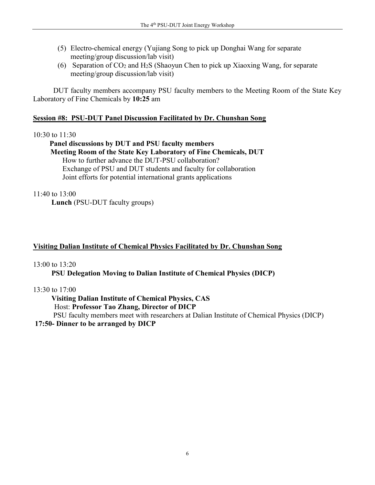- (5) Electro-chemical energy (Yujiang Song to pick up Donghai Wang for separate meeting/group discussion/lab visit)
- (6) Separation of  $CO<sub>2</sub>$  and H<sub>2</sub>S (Shaoyun Chen to pick up Xiaoxing Wang, for separate meeting/group discussion/lab visit)

 DUT faculty members accompany PSU faculty members to the Meeting Room of the State Key Laboratory of Fine Chemicals by **10:25** am

## **Session #8: PSU-DUT Panel Discussion Facilitated by Dr. Chunshan Song**

## 10:30 to 11:30

 **Panel discussions by DUT and PSU faculty members Meeting Room of the State Key Laboratory of Fine Chemicals, DUT** How to further advance the DUT-PSU collaboration? Exchange of PSU and DUT students and faculty for collaboration Joint efforts for potential international grants applications

## $11:40$  to  $13:00$

**Lunch** (PSU-DUT faculty groups)

## **Visiting Dalian Institute of Chemical Physics Facilitated by Dr. Chunshan Song**

## 13:00 to 13:20

**PSU Delegation Moving to Dalian Institute of Chemical Physics (DICP)**

## 13:30 to 17:00

**Visiting Dalian Institute of Chemical Physics, CAS** 

Host: **Professor Tao Zhang, Director of DICP**

PSU faculty members meet with researchers at Dalian Institute of Chemical Physics (DICP) **17:50- Dinner to be arranged by DICP**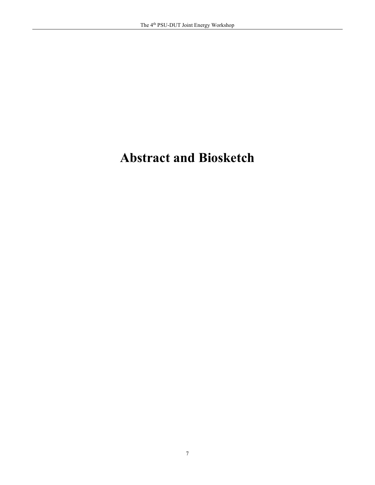# **Abstract and Biosketch**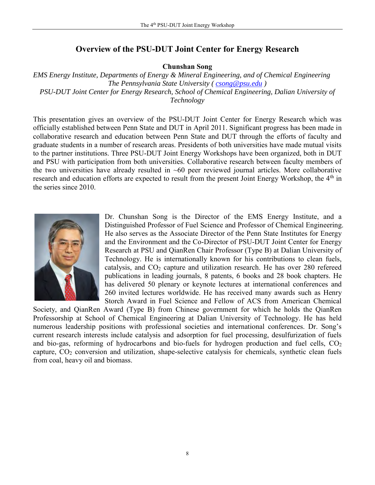## **Overview of the PSU-DUT Joint Center for Energy Research**

**Chunshan Song**

*EMS Energy Institute, Departments of Energy & Mineral Engineering, and of Chemical Engineering The Pennsylvania State University ( [csong@psu.edu](mailto:csong@psu.edu) ) PSU-DUT Joint Center for Energy Research, School of Chemical Engineering, Dalian University of Technology*

This presentation gives an overview of the PSU-DUT Joint Center for Energy Research which was officially established between Penn State and DUT in April 2011. Significant progress has been made in collaborative research and education between Penn State and DUT through the efforts of faculty and graduate students in a number of research areas. Presidents of both universities have made mutual visits to the partner institutions. Three PSU-DUT Joint Energy Workshops have been organized, both in DUT and PSU with participation from both universities. Collaborative research between faculty members of the two universities have already resulted in  $~60$  peer reviewed journal articles. More collaborative research and education efforts are expected to result from the present Joint Energy Workshop, the 4<sup>th</sup> in the series since 2010.



Dr. Chunshan Song is the Director of the EMS Energy Institute, and a Distinguished Professor of Fuel Science and Professor of Chemical Engineering. He also serves as the Associate Director of the Penn State Institutes for Energy and the Environment and the Co-Director of PSU-DUT Joint Center for Energy Research at PSU and QianRen Chair Professor (Type B) at Dalian University of Technology. He is internationally known for his contributions to clean fuels, catalysis, and  $CO<sub>2</sub>$  capture and utilization research. He has over 280 refereed publications in leading journals, 8 patents, 6 books and 28 book chapters. He has delivered 50 plenary or keynote lectures at international conferences and 260 invited lectures worldwide. He has received many awards such as Henry Storch Award in Fuel Science and Fellow of ACS from American Chemical

Society, and QianRen Award (Type B) from Chinese government for which he holds the QianRen Professorship at School of Chemical Engineering at Dalian University of Technology. He has held numerous leadership positions with professional societies and international conferences. Dr. Song's current research interests include catalysis and adsorption for fuel processing, desulfurization of fuels and bio-gas, reforming of hydrocarbons and bio-fuels for hydrogen production and fuel cells, CO<sub>2</sub> capture, CO<sup>2</sup> conversion and utilization, shape-selective catalysis for chemicals, synthetic clean fuels from coal, heavy oil and biomass.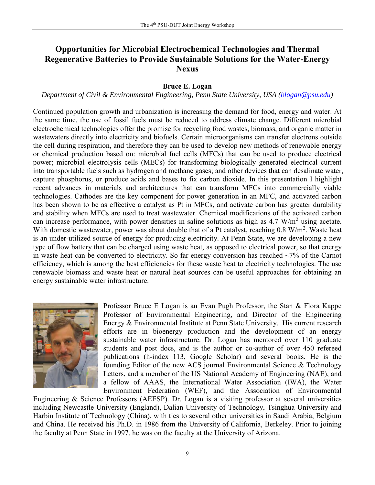# **Opportunities for Microbial Electrochemical Technologies and Thermal Regenerative Batteries to Provide Sustainable Solutions for the Water-Energy Nexus**

#### **Bruce E. Logan**

#### *Department of Civil & Environmental Engineering, Penn State University, USA [\(blogan@psu.edu\)](mailto:blogan@psu.edu)*

Continued population growth and urbanization is increasing the demand for food, energy and water. At the same time, the use of fossil fuels must be reduced to address climate change. Different microbial electrochemical technologies offer the promise for recycling food wastes, biomass, and organic matter in wastewaters directly into electricity and biofuels. Certain microorganisms can transfer electrons outside the cell during respiration, and therefore they can be used to develop new methods of renewable energy or chemical production based on: microbial fuel cells (MFCs) that can be used to produce electrical power; microbial electrolysis cells (MECs) for transforming biologically generated electrical current into transportable fuels such as hydrogen and methane gases; and other devices that can desalinate water, capture phosphorus, or produce acids and bases to fix carbon dioxide. In this presentation I highlight recent advances in materials and architectures that can transform MFCs into commercially viable technologies. Cathodes are the key component for power generation in an MFC, and activated carbon has been shown to be as effective a catalyst as Pt in MFCs, and activate carbon has greater durability and stability when MFCs are used to treat wastewater. Chemical modifications of the activated carbon can increase performance, with power densities in saline solutions as high as  $4.7 \text{ W/m}^2$  using acetate. With domestic wastewater, power was about double that of a Pt catalyst, reaching 0.8 W/m<sup>2</sup>. Waste heat is an under-utilized source of energy for producing electricity. At Penn State, we are developing a new type of flow battery that can be charged using waste heat, as opposed to electrical power, so that energy in waste heat can be converted to electricity. So far energy conversion has reached  $\sim$ 7% of the Carnot efficiency, which is among the best efficiencies for these waste heat to electricity technologies. The use renewable biomass and waste heat or natural heat sources can be useful approaches for obtaining an energy sustainable water infrastructure.



Professor Bruce E Logan is an Evan Pugh Professor, the Stan & Flora Kappe Professor of Environmental Engineering, and Director of the Engineering Energy & Environmental Institute at Penn State University. His current research efforts are in bioenergy production and the development of an energy sustainable water infrastructure. Dr. Logan has mentored over 110 graduate students and post docs, and is the author or co-author of over 450 refereed publications (h-index=113, Google Scholar) and several books. He is the founding Editor of the new ACS journal Environmental Science & Technology Letters, and a member of the US National Academy of Engineering (NAE), and a fellow of AAAS, the International Water Association (IWA), the Water Environment Federation (WEF), and the Association of Environmental

Engineering & Science Professors (AEESP). Dr. Logan is a visiting professor at several universities including Newcastle University (England), Dalian University of Technology, Tsinghua University and Harbin Institute of Technology (China), with ties to several other universities in Saudi Arabia, Belgium and China. He received his Ph.D. in 1986 from the University of California, Berkeley. Prior to joining the faculty at Penn State in 1997, he was on the faculty at the University of Arizona.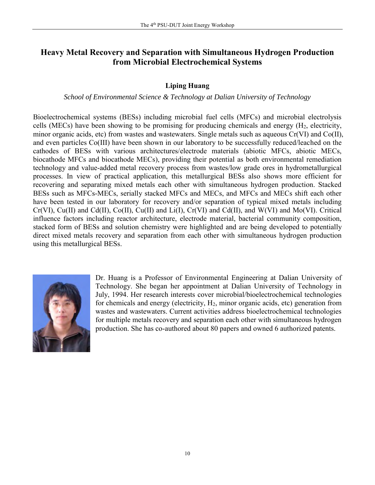# **Heavy Metal Recovery and Separation with Simultaneous Hydrogen Production from Microbial Electrochemical Systems**

## **Liping Huang**

## *School of Environmental Science & Technology at Dalian University of Technology*

Bioelectrochemical systems (BESs) including microbial fuel cells (MFCs) and microbial electrolysis cells (MECs) have been showing to be promising for producing chemicals and energy (H2, electricity, minor organic acids, etc) from wastes and wastewaters. Single metals such as aqueous Cr(VI) and Co(II), and even particles Co(III) have been shown in our laboratory to be successfully reduced/leached on the cathodes of BESs with various architectures/electrode materials (abiotic MFCs, abiotic MECs, biocathode MFCs and biocathode MECs), providing their potential as both environmental remediation technology and value-added metal recovery process from wastes/low grade ores in hydrometallurgical processes. In view of practical application, this metallurgical BESs also shows more efficient for recovering and separating mixed metals each other with simultaneous hydrogen production. Stacked BESs such as MFCs-MECs, serially stacked MFCs and MECs, and MFCs and MECs shift each other have been tested in our laboratory for recovery and/or separation of typical mixed metals including Cr(VI), Cu(II) and Cd(II), Co(II), Cu(II) and Li(I), Cr(VI) and Cd(II), and W(VI) and Mo(VI). Critical influence factors including reactor architecture, electrode material, bacterial community composition, stacked form of BESs and solution chemistry were highlighted and are being developed to potentially direct mixed metals recovery and separation from each other with simultaneous hydrogen production using this metallurgical BESs.



Dr. Huang is a Professor of Environmental Engineering at Dalian University of Technology. She began her appointment at Dalian University of Technology in July, 1994. Her research interests cover microbial/bioelectrochemical technologies for chemicals and energy (electricity, H2, minor organic acids, etc) generation from wastes and wastewaters. Current activities address bioelectrochemical technologies for multiple metals recovery and separation each other with simultaneous hydrogen production. She has co-authored about 80 papers and owned 6 authorized patents.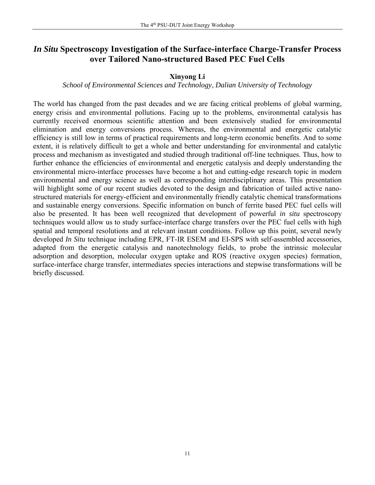# *In Situ* **Spectroscopy Investigation of the Surface-interface Charge-Transfer Process over Tailored Nano-structured Based PEC Fuel Cells**

## **Xinyong Li**

## *School of Environmental Sciences and Technology, Dalian University of Technology*

The world has changed from the past decades and we are facing critical problems of global warming, energy crisis and environmental pollutions. Facing up to the problems, environmental catalysis has currently received enormous scientific attention and been extensively studied for environmental elimination and energy conversions process. Whereas, the environmental and energetic catalytic efficiency is still low in terms of practical requirements and long-term economic benefits. And to some extent, it is relatively difficult to get a whole and better understanding for environmental and catalytic process and mechanism as investigated and studied through traditional off-line techniques. Thus, how to further enhance the efficiencies of environmental and energetic catalysis and deeply understanding the environmental micro-interface processes have become a hot and cutting-edge research topic in modern environmental and energy science as well as corresponding interdisciplinary areas. This presentation will highlight some of our recent studies devoted to the design and fabrication of tailed active nanostructured materials for energy-efficient and environmentally friendly catalytic chemical transformations and sustainable energy conversions. Specific information on bunch of ferrite based PEC fuel cells will also be presented. It has been well recognized that development of powerful *in situ* spectroscopy techniques would allow us to study surface-interface charge transfers over the PEC fuel cells with high spatial and temporal resolutions and at relevant instant conditions. Follow up this point, several newly developed *In Situ* technique including EPR, FT-IR ESEM and EI-SPS with self-assembled accessories, adapted from the energetic catalysis and nanotechnology fields, to probe the intrinsic molecular adsorption and desorption, molecular oxygen uptake and ROS (reactive oxygen species) formation, surface-interface charge transfer, intermediates species interactions and stepwise transformations will be briefly discussed.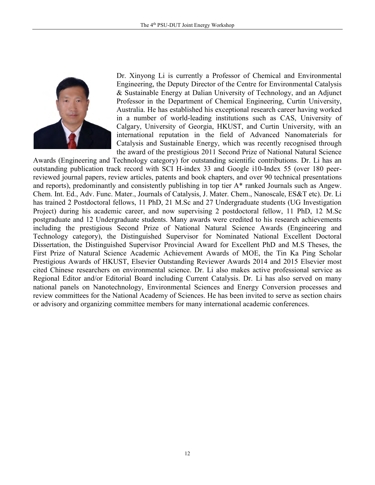

Dr. Xinyong Li is currently a Professor of Chemical and Environmental Engineering, the Deputy Director of the Centre for Environmental Catalysis & Sustainable Energy at Dalian University of Technology, and an Adjunct Professor in the Department of Chemical Engineering, Curtin University, Australia. He has established his exceptional research career having worked in a number of world-leading institutions such as CAS, University of Calgary, University of Georgia, HKUST, and Curtin University, with an international reputation in the field of Advanced Nanomaterials for Catalysis and Sustainable Energy, which was recently recognised through the award of the prestigious 2011 Second Prize of National Natural Science

Awards (Engineering and Technology category) for outstanding scientific contributions. Dr. Li has an outstanding publication track record with SCI H-index 33 and Google i10-Index 55 (over 180 peerreviewed journal papers, review articles, patents and book chapters, and over 90 technical presentations and reports), predominantly and consistently publishing in top tier A\* ranked Journals such as Angew. Chem. Int. Ed., Adv. Func. Mater., Journals of Catalysis, J. Mater. Chem., Nanoscale, ES&T etc). Dr. Li has trained 2 Postdoctoral fellows, 11 PhD, 21 M.Sc and 27 Undergraduate students (UG Investigation Project) during his academic career, and now supervising 2 postdoctoral fellow, 11 PhD, 12 M.Sc postgraduate and 12 Undergraduate students. Many awards were credited to his research achievements including the prestigious Second Prize of National Natural Science Awards (Engineering and Technology category), the Distinguished Supervisor for Nominated National Excellent Doctoral Dissertation, the Distinguished Supervisor Provincial Award for Excellent PhD and M.S Theses, the First Prize of Natural Science Academic Achievement Awards of MOE, the Tin Ka Ping Scholar Prestigious Awards of HKUST, Elsevier Outstanding Reviewer Awards 2014 and 2015 Elsevier most cited Chinese researchers on environmental science. Dr. Li also makes active professional service as Regional Editor and/or Editorial Board including Current Catalysis. Dr. Li has also served on many national panels on Nanotechnology, Environmental Sciences and Energy Conversion processes and review committees for the National Academy of Sciences. He has been invited to serve as section chairs or advisory and organizing committee members for many international academic conferences.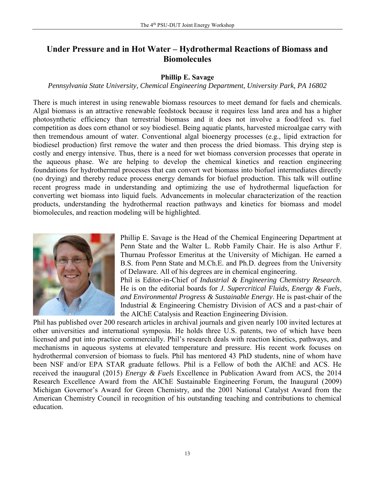# **Under Pressure and in Hot Water – Hydrothermal Reactions of Biomass and Biomolecules**

## **Phillip E. Savage**

## *Pennsylvania State University, Chemical Engineering Department, University Park, PA 16802*

There is much interest in using renewable biomass resources to meet demand for fuels and chemicals. Algal biomass is an attractive renewable feedstock because it requires less land area and has a higher photosynthetic efficiency than terrestrial biomass and it does not involve a food/feed vs. fuel competition as does corn ethanol or soy biodiesel. Being aquatic plants, harvested microalgae carry with then tremendous amount of water. Conventional algal bioenergy processes (e.g., lipid extraction for biodiesel production) first remove the water and then process the dried biomass. This drying step is costly and energy intensive. Thus, there is a need for wet biomass conversion processes that operate in the aqueous phase. We are helping to develop the chemical kinetics and reaction engineering foundations for hydrothermal processes that can convert wet biomass into biofuel intermediates directly (no drying) and thereby reduce process energy demands for biofuel production. This talk will outline recent progress made in understanding and optimizing the use of hydrothermal liquefaction for converting wet biomass into liquid fuels. Advancements in molecular characterization of the reaction products, understanding the hydrothermal reaction pathways and kinetics for biomass and model biomolecules, and reaction modeling will be highlighted.



Phillip E. Savage is the Head of the Chemical Engineering Department at Penn State and the Walter L. Robb Family Chair. He is also Arthur F. Thurnau Professor Emeritus at the University of Michigan. He earned a B.S. from Penn State and M.Ch.E. and Ph.D. degrees from the University of Delaware. All of his degrees are in chemical engineering.

Phil is Editor-in-Chief of *Industrial & Engineering Chemistry Research*. He is on the editorial boards for *J. Supercritical Fluids, Energy & Fuels, and Environmental Progress & Sustainable Energy*. He is past-chair of the Industrial & Engineering Chemistry Division of ACS and a past-chair of the AIChE Catalysis and Reaction Engineering Division.

Phil has published over 200 research articles in archival journals and given nearly 100 invited lectures at other universities and international symposia. He holds three U.S. patents, two of which have been licensed and put into practice commercially. Phil's research deals with reaction kinetics, pathways, and mechanisms in aqueous systems at elevated temperature and pressure. His recent work focuses on hydrothermal conversion of biomass to fuels. Phil has mentored 43 PhD students, nine of whom have been NSF and/or EPA STAR graduate fellows. Phil is a Fellow of both the AIChE and ACS. He received the inaugural (2015) *Energy & Fuels* Excellence in Publication Award from ACS, the 2014 Research Excellence Award from the AIChE Sustainable Engineering Forum, the Inaugural (2009) Michigan Governor's Award for Green Chemistry, and the 2001 National Catalyst Award from the American Chemistry Council in recognition of his outstanding teaching and contributions to chemical education.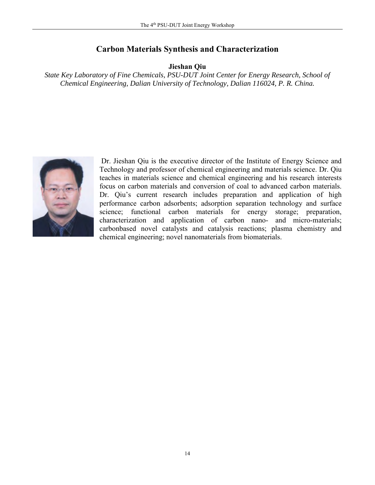## **Carbon Materials Synthesis and Characterization**

**Jieshan Qiu**

*State Key Laboratory of Fine Chemicals, PSU-DUT Joint Center for Energy Research, School of Chemical Engineering, Dalian University of Technology, Dalian 116024, P. R. China.*



Dr. Jieshan Qiu is the executive director of the Institute of Energy Science and Technology and professor of chemical engineering and materials science. Dr. Qiu teaches in materials science and chemical engineering and his research interests focus on carbon materials and conversion of coal to advanced carbon materials. Dr. Qiu's current research includes preparation and application of high performance carbon adsorbents; adsorption separation technology and surface science; functional carbon materials for energy storage; preparation, characterization and application of carbon nano- and micro-materials; carbonbased novel catalysts and catalysis reactions; plasma chemistry and chemical engineering; novel nanomaterials from biomaterials.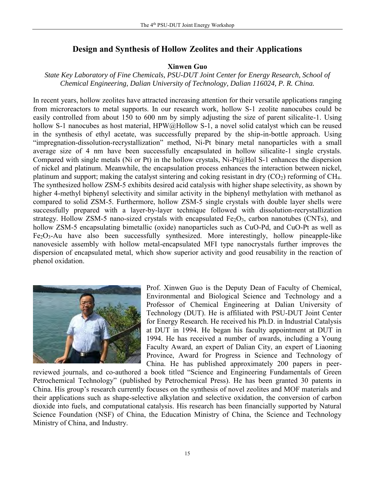## **Design and Synthesis of Hollow Zeolites and their Applications**

#### **Xinwen Guo**

## *State Key Laboratory of Fine Chemicals, PSU-DUT Joint Center for Energy Research, School of Chemical Engineering, Dalian University of Technology, Dalian 116024, P. R. China.*

In recent years, hollow zeolites have attracted increasing attention for their versatile applications ranging from microreactors to metal supports. In our research work, hollow S-1 zeolite nanocubes could be easily controlled from about 150 to 600 nm by simply adjusting the size of parent silicalite-1. Using hollow S-1 nanocubes as host material, HPW@Hollow S-1, a novel solid catalyst which can be reused in the synthesis of ethyl acetate, was successfully prepared by the ship-in-bottle approach. Using "impregnation-dissolution-recrystallization" method, Ni-Pt binary metal nanoparticles with a small average size of 4 nm have been successfully encapsulated in hollow silicalite-1 single crystals. Compared with single metals (Ni or Pt) in the hollow crystals, Ni-Pt@Hol S-1 enhances the dispersion of nickel and platinum. Meanwhile, the encapsulation process enhances the interaction between nickel, platinum and support; making the catalyst sintering and coking resistant in dry  $(CO<sub>2</sub>)$  reforming of CH<sub>4</sub>. The synthesized hollow ZSM-5 exhibits desired acid catalysis with higher shape selectivity, as shown by higher 4-methyl biphenyl selectivity and similar activity in the biphenyl methylation with methanol as compared to solid ZSM-5. Furthermore, hollow ZSM-5 single crystals with double layer shells were successfully prepared with a layer-by-layer technique followed with dissolution-recrystallization strategy. Hollow ZSM-5 nano-sized crystals with encapsulated  $Fe<sub>2</sub>O<sub>3</sub>$ , carbon nanotubes (CNTs), and hollow ZSM-5 encapsulating bimetallic (oxide) nanoparticles such as CuO-Pd, and CuO-Pt as well as Fe2O3-Au have also been successfully synthesized. More interestingly, hollow pineapple-like nanovesicle assembly with hollow metal-encapsulated MFI type nanocrystals further improves the dispersion of encapsulated metal, which show superior activity and good reusability in the reaction of phenol oxidation.



Prof. Xinwen Guo is the Deputy Dean of Faculty of Chemical, Environmental and Biological Science and Technology and a Professor of Chemical Engineering at Dalian University of Technology (DUT). He is affiliated with PSU-DUT Joint Center for Energy Research. He received his Ph.D. in Industrial Catalysis at DUT in 1994. He began his faculty appointment at DUT in 1994. He has received a number of awards, including a Young Faculty Award, an expert of Dalian City, an expert of Liaoning Province, Award for Progress in Science and Technology of China. He has published approximately 200 papers in peer-

reviewed journals, and co-authored a book titled "Science and Engineering Fundamentals of Green Petrochemical Technology" (published by Petrochemical Press). He has been granted 30 patents in China. His group's research currently focuses on the synthesis of novel zeolites and MOF materials and their applications such as shape-selective alkylation and selective oxidation, the conversion of carbon dioxide into fuels, and computational catalysis. His research has been financially supported by Natural Science Foundation (NSF) of China, the Education Ministry of China, the Science and Technology Ministry of China, and Industry.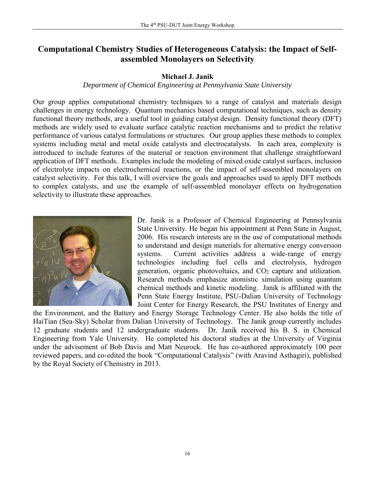# **Computational Chemistry Studies of Heterogeneous Catalysis: the Impact of Selfassembled Monolayers on Selectivity**

## **Michael J. Janik**

## *Department of Chemical Engineering at Pennsylvania State University*

Our group applies computational chemistry techniques to a range of catalyst and materials design challenges in energy technology. Quantum mechanics based computational techniques, such as density functional theory methods, are a useful tool in guiding catalyst design. Density functional theory (DFT) methods are widely used to evaluate surface catalytic reaction mechanisms and to predict the relative performance of various catalyst formulations or structures. Our group applies these methods to complex systems including metal and metal oxide catalysts and electrocatalysts. In each area, complexity is introduced to include features of the material or reaction environment that challenge straightforward application of DFT methods. Examples include the modeling of mixed oxide catalyst surfaces, inclusion of electrolyte impacts on electrochemical reactions, or the impact of self-assembled monolayers on catalyst selectivity. For this talk, I will overview the goals and approaches used to apply DFT methods to complex catalysts, and use the example of self-assembled monolayer effects on hydrogenation selectivity to illustrate these approaches.



Dr. Janik is a Professor of Chemical Engineering at Pennsylvania State University. He began his appointment at Penn State in August, 2006. His research interests are in the use of computational methods to understand and design materials for alternative energy conversion systems. Current activities address a wide-range of energy technologies including fuel cells and electrolysis, hydrogen generation, organic photovoltaics, and  $CO<sub>2</sub>$  capture and utilization. Research methods emphasize atomistic simulation using quantum chemical methods and kinetic modeling. Janik is affiliated with the Penn State Energy Institute, PSU-Dalian University of Technology Joint Center for Energy Research, the PSU Institutes of Energy and

the Environment, and the Battery and Energy Storage Technology Center. He also holds the title of HaiTian (Sea-Sky) Scholar from Dalian University of Technology. The Janik group currently includes 12 graduate students and 12 undergraduate students. Dr. Janik received his B. S. in Chemical Engineering from Yale University. He completed his doctoral studies at the University of Virginia under the advisement of Bob Davis and Matt Neurock. He has co-authored approximately 100 peer reviewed papers, and co-edited the book "Computational Catalysis" (with Aravind Asthagiri), published by the Royal Society of Chemistry in 2013.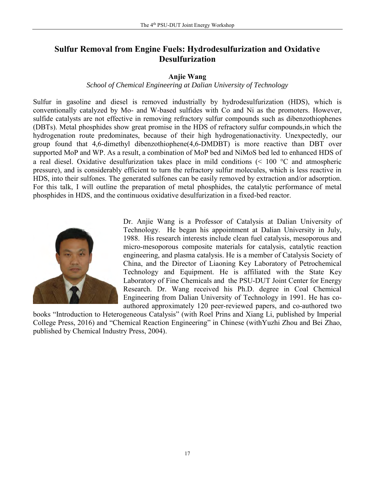# **Sulfur Removal from Engine Fuels: Hydrodesulfurization and Oxidative Desulfurization**

## **Anjie Wang**

#### *School of Chemical Engineering at Dalian University of Technology*

Sulfur in gasoline and diesel is removed industrially by hydrodesulfurization (HDS), which is conventionally catalyzed by Mo- and W-based sulfides with Co and Ni as the promoters. However, sulfide catalysts are not effective in removing refractory sulfur compounds such as dibenzothiophenes (DBTs). Metal phosphides show great promise in the HDS of refractory sulfur compounds,in which the hydrogenation route predominates, because of their high hydrogenationactivity. Unexpectedly, our group found that 4,6-dimethyl dibenzothiophene(4,6-DMDBT) is more reactive than DBT over supported MoP and WP. As a result, a combination of MoP bed and NiMoS bed led to enhanced HDS of a real diesel. Oxidative desulfurization takes place in mild conditions  $\approx 100$  °C and atmospheric pressure), and is considerably efficient to turn the refractory sulfur molecules, which is less reactive in HDS, into their sulfones. The generated sulfones can be easily removed by extraction and/or adsorption. For this talk, I will outline the preparation of metal phosphides, the catalytic performance of metal phosphides in HDS, and the continuous oxidative desulfurization in a fixed-bed reactor.



Dr. Anjie Wang is a Professor of Catalysis at Dalian University of Technology. He began his appointment at Dalian University in July, 1988. His research interests include clean fuel catalysis, mesoporous and micro-mesoporous composite materials for catalysis, catalytic reaction engineering, and plasma catalysis. He is a member of Catalysis Society of China, and the Director of Liaoning Key Laboratory of Petrochemical Technology and Equipment. He is affiliated with the State Key Laboratory of Fine Chemicals and the PSU-DUT Joint Center for Energy Research. Dr. Wang received his Ph.D. degree in Coal Chemical Engineering from Dalian University of Technology in 1991. He has coauthored approximately 120 peer-reviewed papers, and co-authored two

books "Introduction to Heterogeneous Catalysis" (with Roel Prins and Xiang Li, published by Imperial College Press, 2016) and "Chemical Reaction Engineering" in Chinese (withYuzhi Zhou and Bei Zhao, published by Chemical Industry Press, 2004).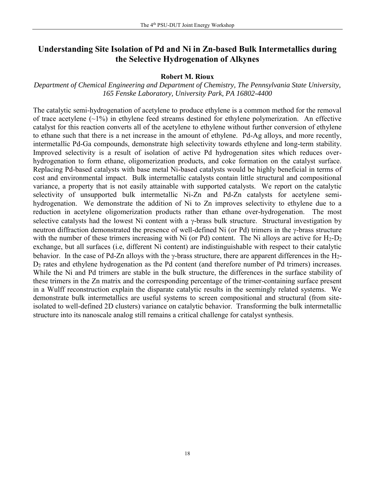# **Understanding Site Isolation of Pd and Ni in Zn-based Bulk Intermetallics during the Selective Hydrogenation of Alkynes**

#### **Robert M. Rioux**

*Department of Chemical Engineering and Department of Chemistry, The Pennsylvania State University, 165 Fenske Laboratory, University Park, PA 16802-4400*

The catalytic semi-hydrogenation of acetylene to produce ethylene is a common method for the removal of trace acetylene  $(\sim 1\%)$  in ethylene feed streams destined for ethylene polymerization. An effective catalyst for this reaction converts all of the acetylene to ethylene without further conversion of ethylene to ethane such that there is a net increase in the amount of ethylene. Pd-Ag alloys, and more recently, intermetallic Pd-Ga compounds, demonstrate high selectivity towards ethylene and long-term stability. Improved selectivity is a result of isolation of active Pd hydrogenation sites which reduces overhydrogenation to form ethane, oligomerization products, and coke formation on the catalyst surface. Replacing Pd-based catalysts with base metal Ni-based catalysts would be highly beneficial in terms of cost and environmental impact. Bulk intermetallic catalysts contain little structural and compositional variance, a property that is not easily attainable with supported catalysts. We report on the catalytic selectivity of unsupported bulk intermetallic Ni-Zn and Pd-Zn catalysts for acetylene semihydrogenation. We demonstrate the addition of Ni to Zn improves selectivity to ethylene due to a reduction in acetylene oligomerization products rather than ethane over-hydrogenation. The most selective catalysts had the lowest Ni content with a  $\gamma$ -brass bulk structure. Structural investigation by neutron diffraction demonstrated the presence of well-defined Ni (or Pd) trimers in the  $\gamma$ -brass structure with the number of these trimers increasing with Ni (or Pd) content. The Ni alloys are active for  $H_2-D_2$ exchange, but all surfaces (i.e, different Ni content) are indistinguishable with respect to their catalytic behavior. In the case of Pd-Zn alloys with the  $\gamma$ -brass structure, there are apparent differences in the H<sub>2</sub>-D<sup>2</sup> rates and ethylene hydrogenation as the Pd content (and therefore number of Pd trimers) increases. While the Ni and Pd trimers are stable in the bulk structure, the differences in the surface stability of these trimers in the Zn matrix and the corresponding percentage of the trimer-containing surface present in a Wulff reconstruction explain the disparate catalytic results in the seemingly related systems. We demonstrate bulk intermetallics are useful systems to screen compositional and structural (from siteisolated to well-defined 2D clusters) variance on catalytic behavior. Transforming the bulk intermetallic structure into its nanoscale analog still remains a critical challenge for catalyst synthesis.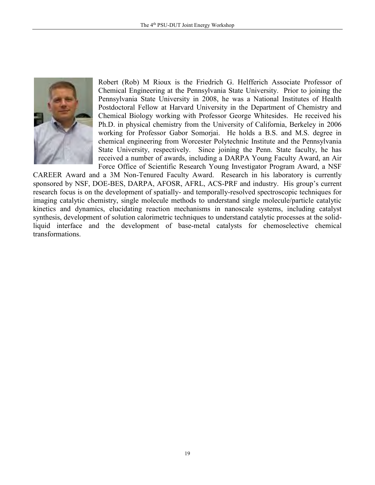

Robert (Rob) M Rioux is the Friedrich G. Helfferich Associate Professor of Chemical Engineering at the Pennsylvania State University. Prior to joining the Pennsylvania State University in 2008, he was a National Institutes of Health Postdoctoral Fellow at Harvard University in the Department of Chemistry and Chemical Biology working with Professor George Whitesides. He received his Ph.D. in physical chemistry from the University of California, Berkeley in 2006 working for Professor Gabor Somorjai. He holds a B.S. and M.S. degree in chemical engineering from Worcester Polytechnic Institute and the Pennsylvania State University, respectively. Since joining the Penn. State faculty, he has received a number of awards, including a DARPA Young Faculty Award, an Air Force Office of Scientific Research Young Investigator Program Award, a NSF

CAREER Award and a 3M Non-Tenured Faculty Award. Research in his laboratory is currently sponsored by NSF, DOE-BES, DARPA, AFOSR, AFRL, ACS-PRF and industry. His group's current research focus is on the development of spatially- and temporally-resolved spectroscopic techniques for imaging catalytic chemistry, single molecule methods to understand single molecule/particle catalytic kinetics and dynamics, elucidating reaction mechanisms in nanoscale systems, including catalyst synthesis, development of solution calorimetric techniques to understand catalytic processes at the solidliquid interface and the development of base-metal catalysts for chemoselective chemical transformations.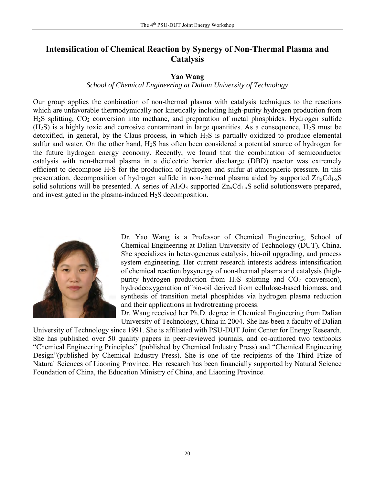# **Intensification of Chemical Reaction by Synergy of Non-Thermal Plasma and Catalysis**

## **Yao Wang**

## *School of Chemical Engineering at Dalian University of Technology*

Our group applies the conbination of non-thermal plasma with catalysis techniques to the reactions which are unfavorable thermodymically nor kinetically including high-purity hydrogen production from H<sub>2</sub>S splitting, CO<sub>2</sub> conversion into methane, and preparation of metal phosphides. Hydrogen sulfide  $(H<sub>2</sub>S)$  is a highly toxic and corrosive contaminant in large quantities. As a consequence,  $H<sub>2</sub>S$  must be detoxified, in general, by the Claus process, in which  $H_2S$  is partially oxidized to produce elemental sulfur and water. On the other hand, H2S has often been considered a potential source of hydrogen for the future hydrogen energy economy. Recently, we found that the combination of semiconductor catalysis with non-thermal plasma in a dielectric barrier discharge (DBD) reactor was extremely efficient to decompose H2S for the production of hydrogen and sulfur at atmospheric pressure. In this presentation, decomposition of hydrogen sulfide in non-thermal plasma aided by supported  $Zn_xCd_{1-x}S$ solid solutions will be presented. A series of  $Al_2O_3$  supported  $Zn_xCd_{1-x}S$  solid solutionswere prepared, and investigated in the plasma-induced H2S decomposition.



Dr. Yao Wang is a Professor of Chemical Engineering, School of Chemical Engineering at Dalian University of Technology (DUT), China. She specializes in heterogeneous catalysis, bio-oil upgrading, and process system engineering. Her current research interests address intensification of chemical reaction bysynergy of non-thermal plasma and catalysis (highpurity hydrogen production from  $H_2S$  splitting and  $CO_2$  conversion), hydrodeoxygenation of bio-oil derived from cellulose-based biomass, and synthesis of transition metal phosphides via hydrogen plasma reduction and their applications in hydrotreating process.

Dr. Wang received her Ph.D. degree in Chemical Engineering from Dalian University of Technology, China in 2004. She has been a faculty of Dalian

University of Technology since 1991. She is affiliated with PSU-DUT Joint Center for Energy Research. She has published over 50 quality papers in peer-reviewed journals, and co-authored two textbooks "Chemical Engineering Principles" (published by Chemical Industry Press) and "Chemical Engineering Design"(published by Chemical Industry Press). She is one of the recipients of the Third Prize of Natural Sciences of Liaoning Province. Her research has been financially supported by Natural Science Foundation of China, the Education Ministry of China, and Liaoning Province.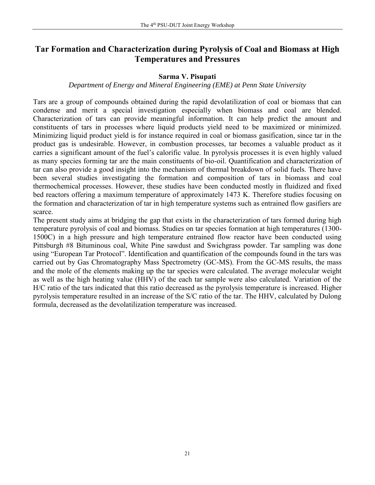## **Tar Formation and Characterization during Pyrolysis of Coal and Biomass at High Temperatures and Pressures**

## **Sarma V. Pisupati**

#### *Department of Energy and Mineral Engineering (EME) at Penn State University*

Tars are a group of compounds obtained during the rapid devolatilization of coal or biomass that can condense and merit a special investigation especially when biomass and coal are blended. Characterization of tars can provide meaningful information. It can help predict the amount and constituents of tars in processes where liquid products yield need to be maximized or minimized. Minimizing liquid product yield is for instance required in coal or biomass gasification, since tar in the product gas is undesirable. However, in combustion processes, tar becomes a valuable product as it carries a significant amount of the fuel's calorific value. In pyrolysis processes it is even highly valued as many species forming tar are the main constituents of bio-oil. Quantification and characterization of tar can also provide a good insight into the mechanism of thermal breakdown of solid fuels. There have been several studies investigating the formation and composition of tars in biomass and coal thermochemical processes. However, these studies have been conducted mostly in fluidized and fixed bed reactors offering a maximum temperature of approximately 1473 K. Therefore studies focusing on the formation and characterization of tar in high temperature systems such as entrained flow gasifiers are scarce.

The present study aims at bridging the gap that exists in the characterization of tars formed during high temperature pyrolysis of coal and biomass. Studies on tar species formation at high temperatures (1300- 1500C) in a high pressure and high temperature entrained flow reactor have been conducted using Pittsburgh #8 Bituminous coal, White Pine sawdust and Swichgrass powder. Tar sampling was done using "European Tar Protocol". Identification and quantification of the compounds found in the tars was carried out by Gas Chromatography Mass Spectrometry (GC-MS). From the GC-MS results, the mass and the mole of the elements making up the tar species were calculated. The average molecular weight as well as the high heating value (HHV) of the each tar sample were also calculated. Variation of the H/C ratio of the tars indicated that this ratio decreased as the pyrolysis temperature is increased. Higher pyrolysis temperature resulted in an increase of the S/C ratio of the tar. The HHV, calculated by Dulong formula, decreased as the devolatilization temperature was increased.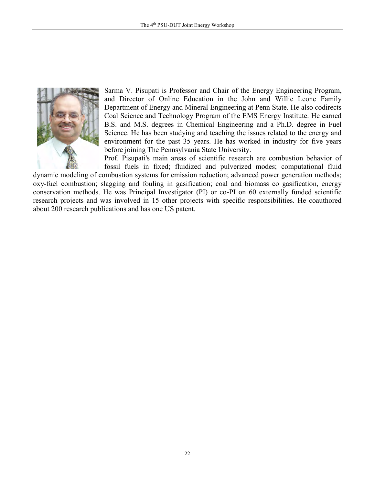

Sarma V. Pisupati is Professor and Chair of the Energy Engineering Program, and Director of Online Education in the John and Willie Leone Family Department of Energy and Mineral Engineering at Penn State. He also codirects Coal Science and Technology Program of the EMS Energy Institute. He earned B.S. and M.S. degrees in Chemical Engineering and a Ph.D. degree in Fuel Science. He has been studying and teaching the issues related to the energy and environment for the past 35 years. He has worked in industry for five years before joining The Pennsylvania State University.

Prof. Pisupati's main areas of scientific research are combustion behavior of fossil fuels in fixed; fluidized and pulverized modes; computational fluid

dynamic modeling of combustion systems for emission reduction; advanced power generation methods; oxy-fuel combustion; slagging and fouling in gasification; coal and biomass co gasification, energy conservation methods. He was Principal Investigator (PI) or co-PI on 60 externally funded scientific research projects and was involved in 15 other projects with specific responsibilities. He coauthored about 200 research publications and has one US patent.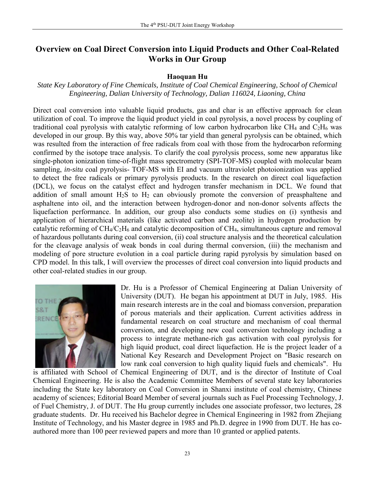# **Overview on Coal Direct Conversion into Liquid Products and Other Coal-Related Works in Our Group**

## **Haoquan Hu**

## *State Key Laboratory of Fine Chemicals, Institute of Coal Chemical Engineering, School of Chemical Engineering, Dalian University of Technology, Dalian 116024, Liaoning, China*

Direct coal conversion into valuable liquid products, gas and char is an effective approach for clean utilization of coal. To improve the liquid product yield in coal pyrolysis, a novel process by coupling of traditional coal pyrolysis with catalytic reforming of low carbon hydrocarbon like CH<sub>4</sub> and  $C_2H_6$  was developed in our group. By this way, above 50% tar yield than general pyrolysis can be obtained, which was resulted from the interaction of free radicals from coal with those from the hydrocarbon reforming confirmed by the isotope trace analysis. To clarify the coal pyrolysis process, some new apparatus like single-photon ionization time-of-flight mass spectrometry (SPI-TOF-MS) coupled with molecular beam sampling, *in-situ* coal pyrolysis- TOF-MS with EI and vacuum ultraviolet photoionization was applied to detect the free radicals or primary pyrolysis products. In the research on direct coal liquefaction (DCL), we focus on the catalyst effect and hydrogen transfer mechanism in DCL. We found that addition of small amount H<sub>2</sub>S to H<sub>2</sub> can obviously promote the conversion of preasphaltene and asphaltene into oil, and the interaction between hydrogen-donor and non-donor solvents affects the liquefaction performance. In addition, our group also conducts some studies on (i) synthesis and application of hierarchical materials (like activated carbon and zeolite) in hydrogen production by catalytic reforming of CH4/C2H<sup>6</sup> and catalytic decomposition of CH4, simultaneous capture and removal of hazardous pollutants during coal conversion, (ii) coal structure analysis and the theoretical calculation for the cleavage analysis of weak bonds in coal during thermal conversion, (iii) the mechanism and modeling of pore structure evolution in a coal particle during rapid pyrolysis by simulation based on CPD model. In this talk, I will overview the processes of direct coal conversion into liquid products and other coal-related studies in our group.



Dr. Hu is a Professor of Chemical Engineering at Dalian University of University (DUT). He began his appointment at DUT in July, 1985. His main research interests are in the coal and biomass conversion, preparation of porous materials and their application. Current activities address in fundamental research on coal structure and mechanism of coal thermal conversion, and developing new coal conversion technology including a process to integrate methane-rich gas activation with coal pyrolysis for high liquid product, coal direct liquefaction. He is the project leader of a National Key Research and Development Project on "Basic research on low rank coal conversion to high quality liquid fuels and chemicals". Hu

is affiliated with School of Chemical Engineering of DUT, and is the director of Institute of Coal Chemical Engineering. He is also the Academic Committee Members of several state key laboratories including the State key laboratory on Coal Conversion in Shanxi institute of coal chemistry, Chinese academy of sciences; Editorial Board Member of several journals such as Fuel Processing Technology, J. of Fuel Chemistry, J. of DUT. The Hu group currently includes one associate professor, two lectures, 28 graduate students. Dr. Hu received his Bachelor degree in Chemical Engineering in 1982 from Zhejiang Institute of Technology, and his Master degree in 1985 and Ph.D. degree in 1990 from DUT. He has coauthored more than 100 peer reviewed papers and more than 10 granted or applied patents.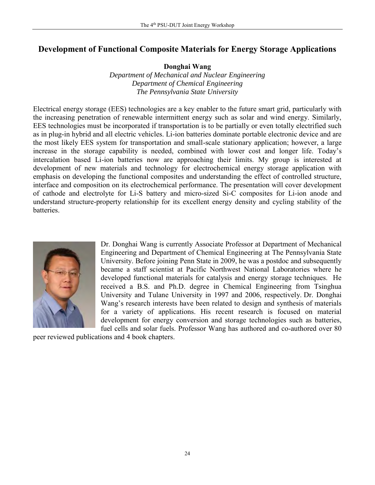# **Development of Functional Composite Materials for Energy Storage Applications**

**Donghai Wang**

*Department of Mechanical and Nuclear Engineering Department of Chemical Engineering The Pennsylvania State University*

Electrical energy storage (EES) technologies are a key enabler to the future smart grid, particularly with the increasing penetration of renewable intermittent energy such as solar and wind energy. Similarly, EES technologies must be incorporated if transportation is to be partially or even totally electrified such as in plug-in hybrid and all electric vehicles. Li-ion batteries dominate portable electronic device and are the most likely EES system for transportation and small-scale stationary application; however, a large increase in the storage capability is needed, combined with lower cost and longer life. Today's intercalation based Li-ion batteries now are approaching their limits. My group is interested at development of new materials and technology for electrochemical energy storage application with emphasis on developing the functional composites and understanding the effect of controlled structure, interface and composition on its electrochemical performance. The presentation will cover development of cathode and electrolyte for Li-S battery and micro-sized Si-C composites for Li-ion anode and understand structure-property relationship for its excellent energy density and cycling stability of the batteries.



Dr. Donghai Wang is currently Associate Professor at Department of Mechanical Engineering and Department of Chemical Engineering at The Pennsylvania State University. Before joining Penn State in 2009, he was a postdoc and subsequently became a staff scientist at Pacific Northwest National Laboratories where he developed functional materials for catalysis and energy storage techniques. He received a B.S. and Ph.D. degree in Chemical Engineering from Tsinghua University and Tulane University in 1997 and 2006, respectively. Dr. Donghai Wang's research interests have been related to design and synthesis of materials for a variety of applications. His recent research is focused on material development for energy conversion and storage technologies such as batteries, fuel cells and solar fuels. Professor Wang has authored and co-authored over 80

peer reviewed publications and 4 book chapters.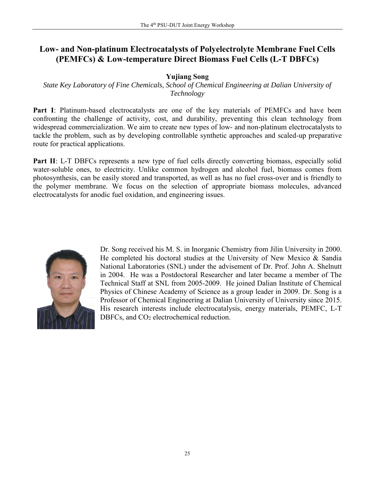# **Low- and Non-platinum Electrocatalysts of Polyelectrolyte Membrane Fuel Cells (PEMFCs) & Low-temperature Direct Biomass Fuel Cells (L-T DBFCs)**

## **Yujiang Song**

*State Key Laboratory of Fine Chemicals, School of Chemical Engineering at Dalian University of Technology*

Part I: Platinum-based electrocatalysts are one of the key materials of PEMFCs and have been confronting the challenge of activity, cost, and durability, preventing this clean technology from widespread commercialization. We aim to create new types of low- and non-platinum electrocatalysts to tackle the problem, such as by developing controllable synthetic approaches and scaled-up preparative route for practical applications.

**Part II:** L-T DBFCs represents a new type of fuel cells directly converting biomass, especially solid water-soluble ones, to electricity. Unlike common hydrogen and alcohol fuel, biomass comes from photosynthesis, can be easily stored and transported, as well as has no fuel cross-over and is friendly to the polymer membrane. We focus on the selection of appropriate biomass molecules, advanced electrocatalysts for anodic fuel oxidation, and engineering issues.



Dr. Song received his M. S. in Inorganic Chemistry from Jilin University in 2000. He completed his doctoral studies at the University of New Mexico & Sandia National Laboratories (SNL) under the advisement of Dr. Prof. John A. Shelnutt in 2004. He was a Postdoctoral Researcher and later became a member of The Technical Staff at SNL from 2005-2009. He joined Dalian Institute of Chemical Physics of Chinese Academy of Science as a group leader in 2009. Dr. Song is a Professor of Chemical Engineering at Dalian University of University since 2015. His research interests include electrocatalysis, energy materials, PEMFC, L-T DBFCs, and CO<sub>2</sub> electrochemical reduction.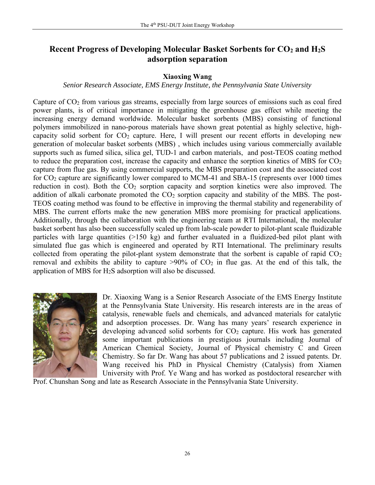# **Recent Progress of Developing Molecular Basket Sorbents for CO<sup>2</sup> and H2S adsorption separation**

## **Xiaoxing Wang**

## *Senior Research Associate, EMS Energy Institute, the Pennsylvania State University*

Capture of  $CO<sub>2</sub>$  from various gas streams, especially from large sources of emissions such as coal fired power plants, is of critical importance in mitigating the greenhouse gas effect while meeting the increasing energy demand worldwide. Molecular basket sorbents (MBS) consisting of functional polymers immobilized in nano-porous materials have shown great potential as highly selective, highcapacity solid sorbent for  $CO<sub>2</sub>$  capture. Here, I will present our recent efforts in developing new generation of molecular basket sorbents (MBS) , which includes using various commercially available supports such as fumed silica, silica gel, TUD-1 and carbon materials, and post-TEOS coating method to reduce the preparation cost, increase the capacity and enhance the sorption kinetics of MBS for  $CO<sub>2</sub>$ capture from flue gas. By using commercial supports, the MBS preparation cost and the associated cost for CO<sup>2</sup> capture are significantly lower compared to MCM-41 and SBA-15 (represents over 1000 times reduction in cost). Both the  $CO<sub>2</sub>$  sorption capacity and sorption kinetics were also improved. The addition of alkali carbonate promoted the  $CO<sub>2</sub>$  sorption capacity and stability of the MBS. The post-TEOS coating method was found to be effective in improving the thermal stability and regenerability of MBS. The current efforts make the new generation MBS more promising for practical applications. Additionally, through the collaboration with the engineering team at RTI International, the molecular basket sorbent has also been successfully scaled up from lab-scale powder to pilot-plant scale fluidizable particles with large quantities (>150 kg) and further evaluated in a fluidized-bed pilot plant with simulated flue gas which is engineered and operated by RTI International. The preliminary results collected from operating the pilot-plant system demonstrate that the sorbent is capable of rapid  $CO<sub>2</sub>$ removal and exhibits the ability to capture  $>90\%$  of  $CO<sub>2</sub>$  in flue gas. At the end of this talk, the application of MBS for H2S adsorption will also be discussed.



Dr. Xiaoxing Wang is a Senior Research Associate of the EMS Energy Institute at the Pennsylvania State University. His research interests are in the areas of catalysis, renewable fuels and chemicals, and advanced materials for catalytic and adsorption processes. Dr. Wang has many years' research experience in developing advanced solid sorbents for  $CO<sub>2</sub>$  capture. His work has generated some important publications in prestigious journals including Journal of American Chemical Society, Journal of Physical chemistry C and Green Chemistry. So far Dr. Wang has about 57 publications and 2 issued patents. Dr. Wang received his PhD in Physical Chemistry (Catalysis) from Xiamen University with Prof. Ye Wang and has worked as postdoctoral researcher with

Prof. Chunshan Song and late as Research Associate in the Pennsylvania State University.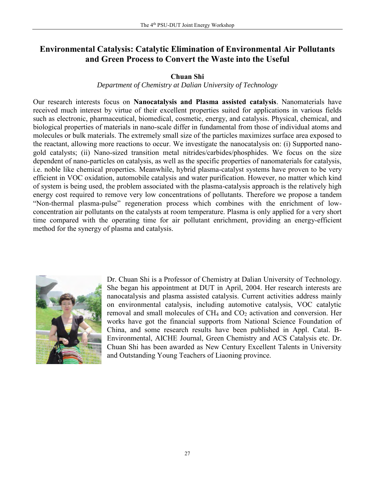# **Environmental Catalysis: Catalytic Elimination of Environmental Air Pollutants and Green Process to Convert the Waste into the Useful**

## **Chuan Shi**

#### *Department of Chemistry at Dalian University of Technology*

Our research interests focus on **Nanocatalysis and Plasma assisted catalysis**. Nanomaterials have received much interest by virtue of their excellent properties suited for applications in various fields such as electronic, pharmaceutical, biomedical, cosmetic, energy, and catalysis. Physical, chemical, and biological properties of materials in nano-scale differ in fundamental from those of individual atoms and molecules or bulk materials. The extremely small size of the particles maximizes surface area exposed to the reactant, allowing more reactions to occur. We investigate the nanocatalysis on: (i) Supported nanogold catalysts; (ii) Nano-sized transition metal nitrides/carbides/phosphides. We focus on the size dependent of nano-particles on catalysis, as well as the specific properties of nanomaterials for catalysis, i.e. noble like chemical properties. Meanwhile, hybrid plasma-catalyst systems have proven to be very efficient in VOC oxidation, automobile catalysis and water purification. However, no matter which kind of system is being used, the problem associated with the plasma-catalysis approach is the relatively high energy cost required to remove very low concentrations of pollutants. Therefore we propose a tandem "Non-thermal plasma-pulse" regeneration process which combines with the enrichment of lowconcentration air pollutants on the catalysts at room temperature. Plasma is only applied for a very short time compared with the operating time for air pollutant enrichment, providing an energy-efficient method for the synergy of plasma and catalysis.



Dr. Chuan Shi is a Professor of Chemistry at Dalian University of Technology. She began his appointment at DUT in April, 2004. Her research interests are nanocatalysis and plasma assisted catalysis. Current activities address mainly on environmental catalysis, including automotive catalysis, VOC catalytic removal and small molecules of CH<sub>4</sub> and CO<sub>2</sub> activation and conversion. Her works have got the financial supports from National Science Foundation of China, and some research results have been published in Appl. Catal. B-Environmental, AICHE Journal, Green Chemistry and ACS Catalysis etc. Dr. Chuan Shi has been awarded as New Century Excellent Talents in University and Outstanding Young Teachers of Liaoning province.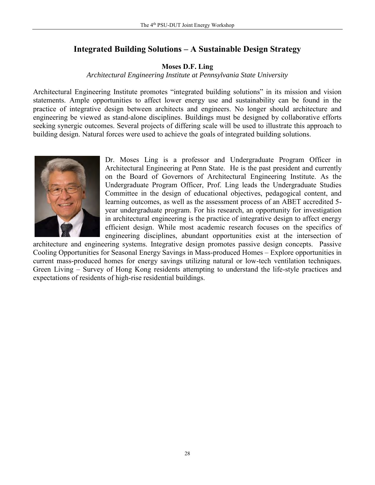# **Integrated Building Solutions – A Sustainable Design Strategy**

## **Moses D.F. Ling**

#### *Architectural Engineering Institute at Pennsylvania State University*

Architectural Engineering Institute promotes "integrated building solutions" in its mission and vision statements. Ample opportunities to affect lower energy use and sustainability can be found in the practice of integrative design between architects and engineers. No longer should architecture and engineering be viewed as stand-alone disciplines. Buildings must be designed by collaborative efforts seeking synergic outcomes. Several projects of differing scale will be used to illustrate this approach to building design. Natural forces were used to achieve the goals of integrated building solutions.



Dr. Moses Ling is a professor and Undergraduate Program Officer in Architectural Engineering at Penn State. He is the past president and currently on the Board of Governors of Architectural Engineering Institute. As the Undergraduate Program Officer, Prof. Ling leads the Undergraduate Studies Committee in the design of educational objectives, pedagogical content, and learning outcomes, as well as the assessment process of an ABET accredited 5 year undergraduate program. For his research, an opportunity for investigation in architectural engineering is the practice of integrative design to affect energy efficient design. While most academic research focuses on the specifics of engineering disciplines, abundant opportunities exist at the intersection of

architecture and engineering systems. Integrative design promotes passive design concepts. Passive Cooling Opportunities for Seasonal Energy Savings in Mass-produced Homes – Explore opportunities in current mass-produced homes for energy savings utilizing natural or low-tech ventilation techniques. Green Living – Survey of Hong Kong residents attempting to understand the life-style practices and expectations of residents of high-rise residential buildings.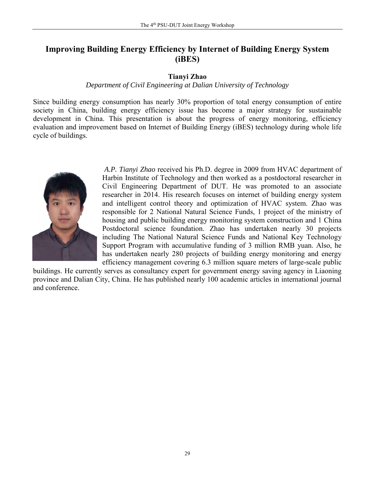# **Improving Building Energy Efficiency by Internet of Building Energy System (iBES)**

## **Tianyi Zhao**

## *Department of Civil Engineering at Dalian University of Technology*

Since building energy consumption has nearly 30% proportion of total energy consumption of entire society in China, building energy efficiency issue has become a major strategy for sustainable development in China. This presentation is about the progress of energy monitoring, efficiency evaluation and improvement based on Internet of Building Energy (iBES) technology during whole life cycle of buildings.



*A.P. Tianyi Zhao* received his Ph.D. degree in 2009 from HVAC department of Harbin Institute of Technology and then worked as a postdoctoral researcher in Civil Engineering Department of DUT. He was promoted to an associate researcher in 2014. His research focuses on internet of building energy system and intelligent control theory and optimization of HVAC system. Zhao was responsible for 2 National Natural Science Funds, 1 project of the ministry of housing and public building energy monitoring system construction and 1 China Postdoctoral science foundation. Zhao has undertaken nearly 30 projects including The National Natural Science Funds and National Key Technology Support Program with accumulative funding of 3 million RMB yuan. Also, he has undertaken nearly 280 projects of building energy monitoring and energy efficiency management covering 6.3 million square meters of large-scale public

buildings. He currently serves as consultancy expert for government energy saving agency in Liaoning province and Dalian City, China. He has published nearly 100 academic articles in international journal and conference.